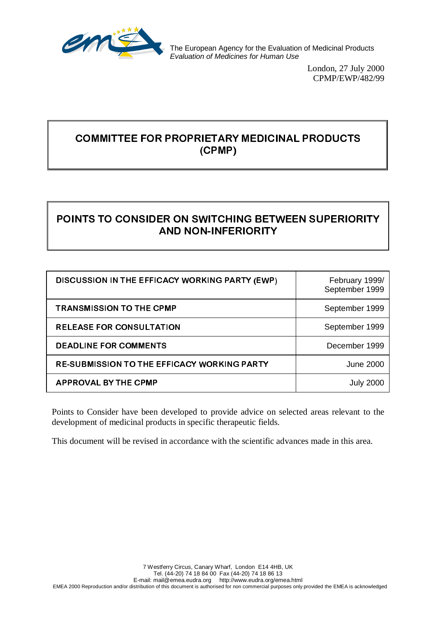

The European Agency for the Evaluation of Medicinal Products *Evaluation of Medicines for Human Use*

> London, 27 July 2000 CPMP/EWP/482/99

# COMMITTEE FOR PROPRIETARY MEDICINAL PRODUCTS (CPMP)

# POINTS TO CONSIDER ON SWITCHING BETWEEN SUPERIORITY **AND NON-INFERIORITY**

| DISCUSSION IN THE EFFICACY WORKING PARTY (EWP)     | February 1999/<br>September 1999 |
|----------------------------------------------------|----------------------------------|
| <b>TRANSMISSION TO THE CPMP</b>                    | September 1999                   |
| <b>RELEASE FOR CONSULTATION</b>                    | September 1999                   |
| <b>DEADLINE FOR COMMENTS</b>                       | December 1999                    |
| <b>RE-SUBMISSION TO THE EFFICACY WORKING PARTY</b> | June 2000                        |
| <b>APPROVAL BY THE CPMP</b>                        |                                  |

Points to Consider have been developed to provide advice on selected areas relevant to the development of medicinal products in specific therapeutic fields.

This document will be revised in accordance with the scientific advances made in this area.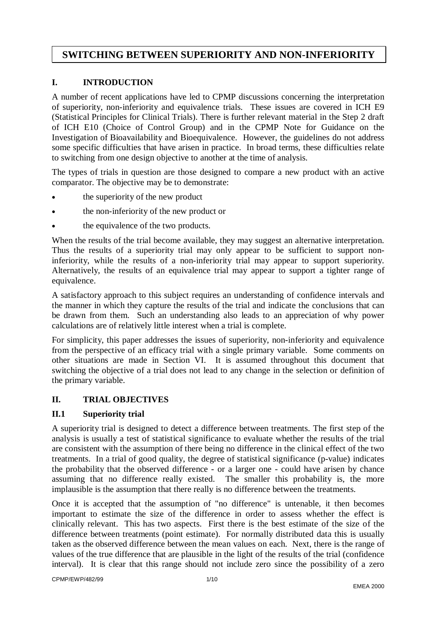# **SWITCHING BETWEEN SUPERIORITY AND NON-INFERIORITY**

## **I. INTRODUCTION**

A number of recent applications have led to CPMP discussions concerning the interpretation of superiority, non-inferiority and equivalence trials. These issues are covered in ICH E9 (Statistical Principles for Clinical Trials). There is further relevant material in the Step 2 draft of ICH E10 (Choice of Control Group) and in the CPMP Note for Guidance on the Investigation of Bioavailability and Bioequivalence. However, the guidelines do not address some specific difficulties that have arisen in practice. In broad terms, these difficulties relate to switching from one design objective to another at the time of analysis.

The types of trials in question are those designed to compare a new product with an active comparator. The objective may be to demonstrate:

- the superiority of the new product
- the non-inferiority of the new product or
- the equivalence of the two products.

When the results of the trial become available, they may suggest an alternative interpretation. Thus the results of a superiority trial may only appear to be sufficient to support noninferiority, while the results of a non-inferiority trial may appear to support superiority. Alternatively, the results of an equivalence trial may appear to support a tighter range of equivalence.

A satisfactory approach to this subject requires an understanding of confidence intervals and the manner in which they capture the results of the trial and indicate the conclusions that can be drawn from them. Such an understanding also leads to an appreciation of why power calculations are of relatively little interest when a trial is complete.

For simplicity, this paper addresses the issues of superiority, non-inferiority and equivalence from the perspective of an efficacy trial with a single primary variable. Some comments on other situations are made in Section VI. It is assumed throughout this document that switching the objective of a trial does not lead to any change in the selection or definition of the primary variable.

## **II. TRIAL OBJECTIVES**

## **II.1 Superiority trial**

A superiority trial is designed to detect a difference between treatments. The first step of the analysis is usually a test of statistical significance to evaluate whether the results of the trial are consistent with the assumption of there being no difference in the clinical effect of the two treatments. In a trial of good quality, the degree of statistical significance (p-value) indicates the probability that the observed difference - or a larger one - could have arisen by chance assuming that no difference really existed. The smaller this probability is, the more implausible is the assumption that there really is no difference between the treatments.

Once it is accepted that the assumption of "no difference" is untenable, it then becomes important to estimate the size of the difference in order to assess whether the effect is clinically relevant. This has two aspects. First there is the best estimate of the size of the difference between treatments (point estimate). For normally distributed data this is usually taken as the observed difference between the mean values on each. Next, there is the range of values of the true difference that are plausible in the light of the results of the trial (confidence interval). It is clear that this range should not include zero since the possibility of a zero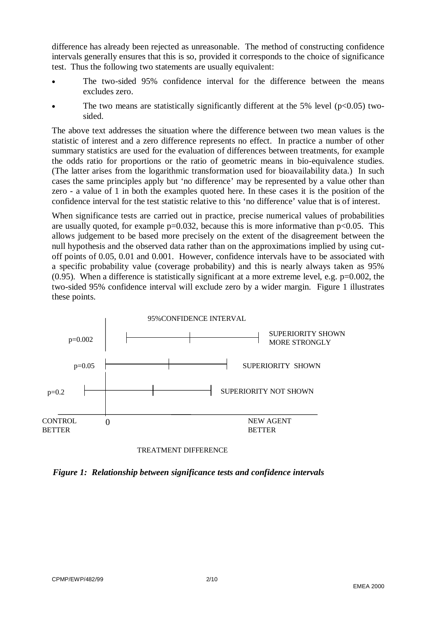difference has already been rejected as unreasonable. The method of constructing confidence intervals generally ensures that this is so, provided it corresponds to the choice of significance test. Thus the following two statements are usually equivalent:

- The two-sided 95% confidence interval for the difference between the means excludes zero.
- The two means are statistically significantly different at the 5% level ( $p<0.05$ ) twosided.

The above text addresses the situation where the difference between two mean values is the statistic of interest and a zero difference represents no effect. In practice a number of other summary statistics are used for the evaluation of differences between treatments, for example the odds ratio for proportions or the ratio of geometric means in bio-equivalence studies. (The latter arises from the logarithmic transformation used for bioavailability data.) In such cases the same principles apply but 'no difference' may be represented by a value other than zero - a value of 1 in both the examples quoted here. In these cases it is the position of the confidence interval for the test statistic relative to this 'no difference' value that is of interest.

When significance tests are carried out in practice, precise numerical values of probabilities are usually quoted, for example  $p=0.032$ , because this is more informative than  $p<0.05$ . This allows judgement to be based more precisely on the extent of the disagreement between the null hypothesis and the observed data rather than on the approximations implied by using cutoff points of 0.05, 0.01 and 0.001. However, confidence intervals have to be associated with a specific probability value (coverage probability) and this is nearly always taken as 95%  $(0.95)$ . When a difference is statistically significant at a more extreme level, e.g.  $p=0.002$ , the two-sided 95% confidence interval will exclude zero by a wider margin. Figure 1 illustrates these points.



TREATMENT DIFFERENCE

*Figure 1: Relationship between significance tests and confidence intervals*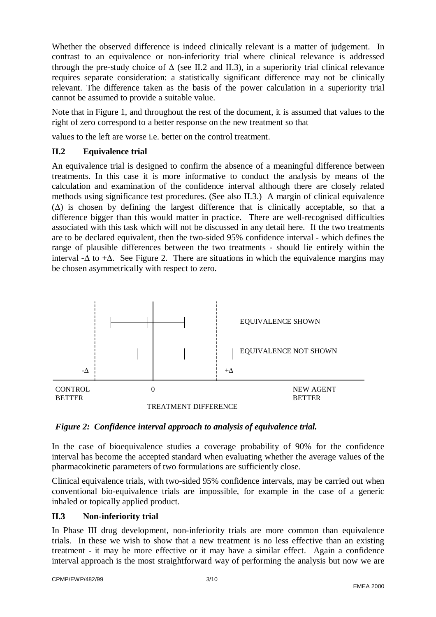Whether the observed difference is indeed clinically relevant is a matter of judgement. In contrast to an equivalence or non-inferiority trial where clinical relevance is addressed through the pre-study choice of  $\Delta$  (see II.2 and II.3), in a superiority trial clinical relevance requires separate consideration: a statistically significant difference may not be clinically relevant. The difference taken as the basis of the power calculation in a superiority trial cannot be assumed to provide a suitable value.

Note that in Figure 1, and throughout the rest of the document, it is assumed that values to the right of zero correspond to a better response on the new treatment so that

values to the left are worse i.e. better on the control treatment.

## **II.2 Equivalence trial**

An equivalence trial is designed to confirm the absence of a meaningful difference between treatments. In this case it is more informative to conduct the analysis by means of the calculation and examination of the confidence interval although there are closely related methods using significance test procedures. (See also II.3.) A margin of clinical equivalence (∆) is chosen by defining the largest difference that is clinically acceptable, so that a difference bigger than this would matter in practice. There are well-recognised difficulties associated with this task which will not be discussed in any detail here. If the two treatments are to be declared equivalent, then the two-sided 95% confidence interval - which defines the range of plausible differences between the two treatments - should lie entirely within the interval - $\Delta$  to + $\Delta$ . See Figure 2. There are situations in which the equivalence margins may be chosen asymmetrically with respect to zero.



# *Figure 2: Confidence interval approach to analysis of equivalence trial.*

In the case of bioequivalence studies a coverage probability of 90% for the confidence interval has become the accepted standard when evaluating whether the average values of the pharmacokinetic parameters of two formulations are sufficiently close.

Clinical equivalence trials, with two-sided 95% confidence intervals, may be carried out when conventional bio-equivalence trials are impossible, for example in the case of a generic inhaled or topically applied product.

# **II.3 Non-inferiority trial**

In Phase III drug development, non-inferiority trials are more common than equivalence trials. In these we wish to show that a new treatment is no less effective than an existing treatment - it may be more effective or it may have a similar effect. Again a confidence interval approach is the most straightforward way of performing the analysis but now we are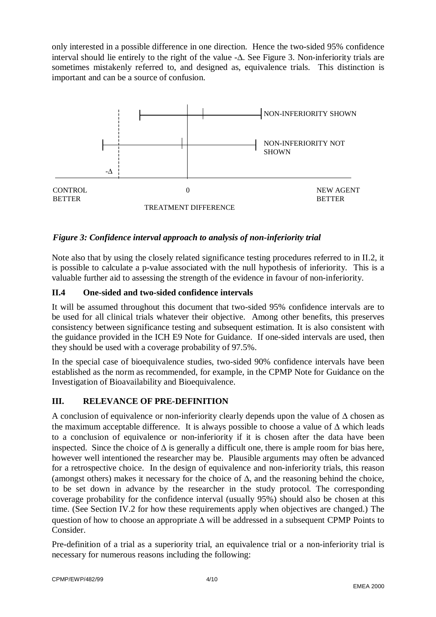only interested in a possible difference in one direction. Hence the two-sided 95% confidence interval should lie entirely to the right of the value -∆. See Figure 3. Non-inferiority trials are sometimes mistakenly referred to, and designed as, equivalence trials. This distinction is important and can be a source of confusion.



## *Figure 3: Confidence interval approach to analysis of non-inferiority trial*

Note also that by using the closely related significance testing procedures referred to in II.2, it is possible to calculate a p-value associated with the null hypothesis of inferiority. This is a valuable further aid to assessing the strength of the evidence in favour of non-inferiority.

## **II.4 One-sided and two-sided confidence intervals**

It will be assumed throughout this document that two-sided 95% confidence intervals are to be used for all clinical trials whatever their objective. Among other benefits, this preserves consistency between significance testing and subsequent estimation. It is also consistent with the guidance provided in the ICH E9 Note for Guidance. If one-sided intervals are used, then they should be used with a coverage probability of 97.5%.

In the special case of bioequivalence studies, two-sided 90% confidence intervals have been established as the norm as recommended, for example, in the CPMP Note for Guidance on the Investigation of Bioavailability and Bioequivalence.

#### **III. RELEVANCE OF PRE-DEFINITION**

A conclusion of equivalence or non-inferiority clearly depends upon the value of ∆ chosen as the maximum acceptable difference. It is always possible to choose a value of ∆ which leads to a conclusion of equivalence or non-inferiority if it is chosen after the data have been inspected. Since the choice of  $\Delta$  is generally a difficult one, there is ample room for bias here, however well intentioned the researcher may be. Plausible arguments may often be advanced for a retrospective choice. In the design of equivalence and non-inferiority trials, this reason (amongst others) makes it necessary for the choice of  $\Delta$ , and the reasoning behind the choice, to be set down in advance by the researcher in the study protocol. The corresponding coverage probability for the confidence interval (usually 95%) should also be chosen at this time. (See Section IV.2 for how these requirements apply when objectives are changed.) The question of how to choose an appropriate ∆ will be addressed in a subsequent CPMP Points to Consider.

Pre-definition of a trial as a superiority trial, an equivalence trial or a non-inferiority trial is necessary for numerous reasons including the following: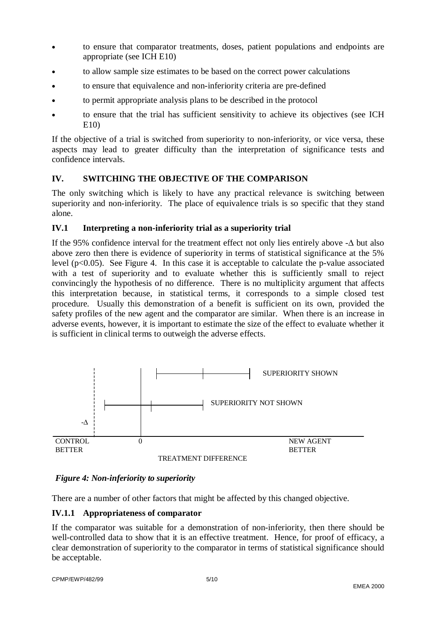- to ensure that comparator treatments, doses, patient populations and endpoints are appropriate (see ICH E10)
- to allow sample size estimates to be based on the correct power calculations
- to ensure that equivalence and non-inferiority criteria are pre-defined
- to permit appropriate analysis plans to be described in the protocol
- to ensure that the trial has sufficient sensitivity to achieve its objectives (see ICH E10)

If the objective of a trial is switched from superiority to non-inferiority, or vice versa, these aspects may lead to greater difficulty than the interpretation of significance tests and confidence intervals.

#### **IV. SWITCHING THE OBJECTIVE OF THE COMPARISON**

The only switching which is likely to have any practical relevance is switching between superiority and non-inferiority. The place of equivalence trials is so specific that they stand alone.

#### **IV.1 Interpreting a non-inferiority trial as a superiority trial**

If the 95% confidence interval for the treatment effect not only lies entirely above -∆ but also above zero then there is evidence of superiority in terms of statistical significance at the 5% level  $(p<0.05)$ . See Figure 4. In this case it is acceptable to calculate the p-value associated with a test of superiority and to evaluate whether this is sufficiently small to reject convincingly the hypothesis of no difference. There is no multiplicity argument that affects this interpretation because, in statistical terms, it corresponds to a simple closed test procedure. Usually this demonstration of a benefit is sufficient on its own, provided the safety profiles of the new agent and the comparator are similar. When there is an increase in adverse events, however, it is important to estimate the size of the effect to evaluate whether it is sufficient in clinical terms to outweigh the adverse effects.



#### *Figure 4: Non-inferiority to superiority*

There are a number of other factors that might be affected by this changed objective.

#### **IV.1.1 Appropriateness of comparator**

If the comparator was suitable for a demonstration of non-inferiority, then there should be well-controlled data to show that it is an effective treatment. Hence, for proof of efficacy, a clear demonstration of superiority to the comparator in terms of statistical significance should be acceptable.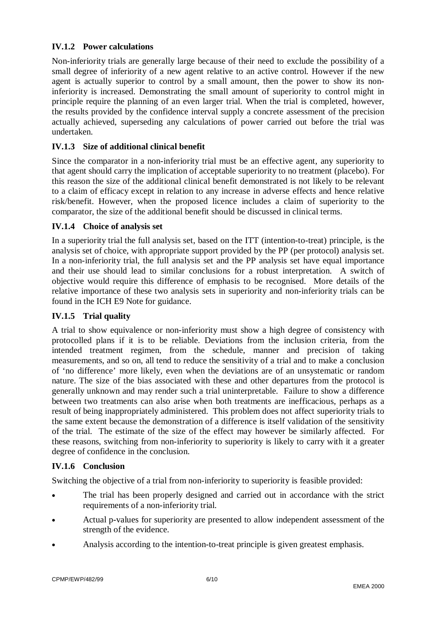## **IV.1.2 Power calculations**

Non-inferiority trials are generally large because of their need to exclude the possibility of a small degree of inferiority of a new agent relative to an active control. However if the new agent is actually superior to control by a small amount, then the power to show its noninferiority is increased. Demonstrating the small amount of superiority to control might in principle require the planning of an even larger trial. When the trial is completed, however, the results provided by the confidence interval supply a concrete assessment of the precision actually achieved, superseding any calculations of power carried out before the trial was undertaken.

## **IV.1.3 Size of additional clinical benefit**

Since the comparator in a non-inferiority trial must be an effective agent, any superiority to that agent should carry the implication of acceptable superiority to no treatment (placebo). For this reason the size of the additional clinical benefit demonstrated is not likely to be relevant to a claim of efficacy except in relation to any increase in adverse effects and hence relative risk/benefit. However, when the proposed licence includes a claim of superiority to the comparator, the size of the additional benefit should be discussed in clinical terms.

#### **IV.1.4 Choice of analysis set**

In a superiority trial the full analysis set, based on the ITT (intention-to-treat) principle, is the analysis set of choice, with appropriate support provided by the PP (per protocol) analysis set. In a non-inferiority trial, the full analysis set and the PP analysis set have equal importance and their use should lead to similar conclusions for a robust interpretation. A switch of objective would require this difference of emphasis to be recognised. More details of the relative importance of these two analysis sets in superiority and non-inferiority trials can be found in the ICH E9 Note for guidance.

## **IV.1.5 Trial quality**

A trial to show equivalence or non-inferiority must show a high degree of consistency with protocolled plans if it is to be reliable. Deviations from the inclusion criteria, from the intended treatment regimen, from the schedule, manner and precision of taking measurements, and so on, all tend to reduce the sensitivity of a trial and to make a conclusion of 'no difference' more likely, even when the deviations are of an unsystematic or random nature. The size of the bias associated with these and other departures from the protocol is generally unknown and may render such a trial uninterpretable. Failure to show a difference between two treatments can also arise when both treatments are inefficacious, perhaps as a result of being inappropriately administered. This problem does not affect superiority trials to the same extent because the demonstration of a difference is itself validation of the sensitivity of the trial. The estimate of the size of the effect may however be similarly affected. For these reasons, switching from non-inferiority to superiority is likely to carry with it a greater degree of confidence in the conclusion.

## **IV.1.6 Conclusion**

Switching the objective of a trial from non-inferiority to superiority is feasible provided:

- The trial has been properly designed and carried out in accordance with the strict requirements of a non-inferiority trial.
- Actual p-values for superiority are presented to allow independent assessment of the strength of the evidence.
- Analysis according to the intention-to-treat principle is given greatest emphasis.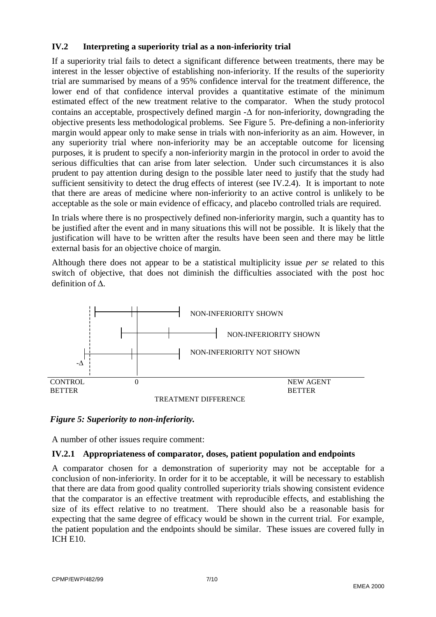## **IV.2 Interpreting a superiority trial as a non-inferiority trial**

If a superiority trial fails to detect a significant difference between treatments, there may be interest in the lesser objective of establishing non-inferiority. If the results of the superiority trial are summarised by means of a 95% confidence interval for the treatment difference, the lower end of that confidence interval provides a quantitative estimate of the minimum estimated effect of the new treatment relative to the comparator. When the study protocol contains an acceptable, prospectively defined margin -∆ for non-inferiority, downgrading the objective presents less methodological problems. See Figure 5. Pre-defining a non-inferiority margin would appear only to make sense in trials with non-inferiority as an aim. However, in any superiority trial where non-inferiority may be an acceptable outcome for licensing purposes, it is prudent to specify a non-inferiority margin in the protocol in order to avoid the serious difficulties that can arise from later selection. Under such circumstances it is also prudent to pay attention during design to the possible later need to justify that the study had sufficient sensitivity to detect the drug effects of interest (see IV.2.4). It is important to note that there are areas of medicine where non-inferiority to an active control is unlikely to be acceptable as the sole or main evidence of efficacy, and placebo controlled trials are required.

In trials where there is no prospectively defined non-inferiority margin, such a quantity has to be justified after the event and in many situations this will not be possible. It is likely that the justification will have to be written after the results have been seen and there may be little external basis for an objective choice of margin.

Although there does not appear to be a statistical multiplicity issue *per se* related to this switch of objective, that does not diminish the difficulties associated with the post hoc definition of ∆.



#### *Figure 5: Superiority to non-inferiority.*

A number of other issues require comment:

#### **IV.2.1 Appropriateness of comparator, doses, patient population and endpoints**

A comparator chosen for a demonstration of superiority may not be acceptable for a conclusion of non-inferiority. In order for it to be acceptable, it will be necessary to establish that there are data from good quality controlled superiority trials showing consistent evidence that the comparator is an effective treatment with reproducible effects, and establishing the size of its effect relative to no treatment. There should also be a reasonable basis for expecting that the same degree of efficacy would be shown in the current trial. For example, the patient population and the endpoints should be similar. These issues are covered fully in ICH E10.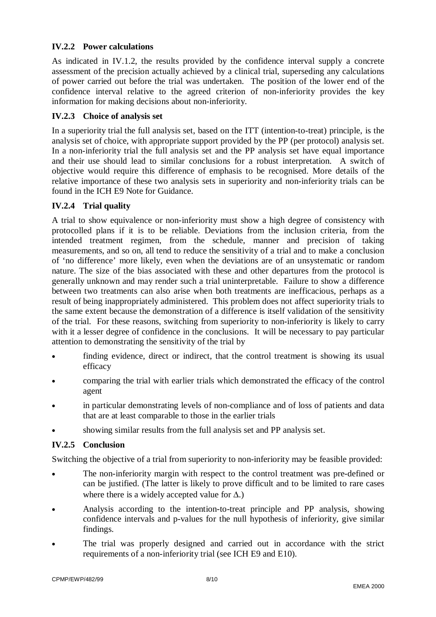## **IV.2.2 Power calculations**

As indicated in IV.1.2, the results provided by the confidence interval supply a concrete assessment of the precision actually achieved by a clinical trial, superseding any calculations of power carried out before the trial was undertaken. The position of the lower end of the confidence interval relative to the agreed criterion of non-inferiority provides the key information for making decisions about non-inferiority.

## **IV.2.3 Choice of analysis set**

In a superiority trial the full analysis set, based on the ITT (intention-to-treat) principle, is the analysis set of choice, with appropriate support provided by the PP (per protocol) analysis set. In a non-inferiority trial the full analysis set and the PP analysis set have equal importance and their use should lead to similar conclusions for a robust interpretation. A switch of objective would require this difference of emphasis to be recognised. More details of the relative importance of these two analysis sets in superiority and non-inferiority trials can be found in the ICH E9 Note for Guidance.

## **IV.2.4 Trial quality**

A trial to show equivalence or non-inferiority must show a high degree of consistency with protocolled plans if it is to be reliable. Deviations from the inclusion criteria, from the intended treatment regimen, from the schedule, manner and precision of taking measurements, and so on, all tend to reduce the sensitivity of a trial and to make a conclusion of 'no difference' more likely, even when the deviations are of an unsystematic or random nature. The size of the bias associated with these and other departures from the protocol is generally unknown and may render such a trial uninterpretable. Failure to show a difference between two treatments can also arise when both treatments are inefficacious, perhaps as a result of being inappropriately administered. This problem does not affect superiority trials to the same extent because the demonstration of a difference is itself validation of the sensitivity of the trial. For these reasons, switching from superiority to non-inferiority is likely to carry with it a lesser degree of confidence in the conclusions. It will be necessary to pay particular attention to demonstrating the sensitivity of the trial by

- finding evidence, direct or indirect, that the control treatment is showing its usual efficacy
- comparing the trial with earlier trials which demonstrated the efficacy of the control agent
- in particular demonstrating levels of non-compliance and of loss of patients and data that are at least comparable to those in the earlier trials
- showing similar results from the full analysis set and PP analysis set.

## **IV.2.5 Conclusion**

Switching the objective of a trial from superiority to non-inferiority may be feasible provided:

- The non-inferiority margin with respect to the control treatment was pre-defined or can be justified. (The latter is likely to prove difficult and to be limited to rare cases where there is a widely accepted value for  $\Delta$ .)
- Analysis according to the intention-to-treat principle and PP analysis, showing confidence intervals and p-values for the null hypothesis of inferiority, give similar findings.
- The trial was properly designed and carried out in accordance with the strict requirements of a non-inferiority trial (see ICH E9 and E10).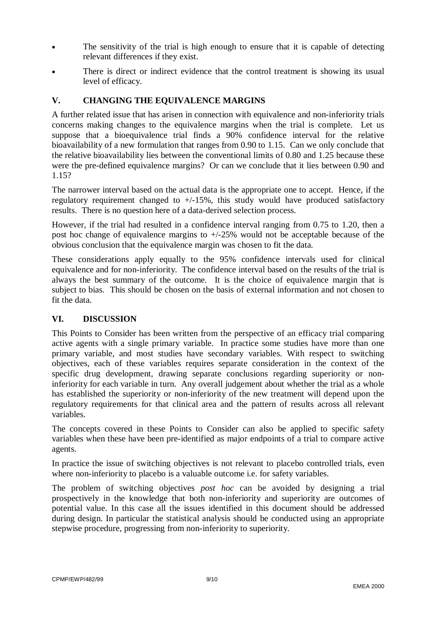- The sensitivity of the trial is high enough to ensure that it is capable of detecting relevant differences if they exist.
- There is direct or indirect evidence that the control treatment is showing its usual level of efficacy.

# **V. CHANGING THE EQUIVALENCE MARGINS**

A further related issue that has arisen in connection with equivalence and non-inferiority trials concerns making changes to the equivalence margins when the trial is complete. Let us suppose that a bioequivalence trial finds a 90% confidence interval for the relative bioavailability of a new formulation that ranges from 0.90 to 1.15. Can we only conclude that the relative bioavailability lies between the conventional limits of 0.80 and 1.25 because these were the pre-defined equivalence margins? Or can we conclude that it lies between 0.90 and 1.15?

The narrower interval based on the actual data is the appropriate one to accept. Hence, if the regulatory requirement changed to  $+/-15\%$ , this study would have produced satisfactory results. There is no question here of a data-derived selection process.

However, if the trial had resulted in a confidence interval ranging from 0.75 to 1.20, then a post hoc change of equivalence margins to +/-25% would not be acceptable because of the obvious conclusion that the equivalence margin was chosen to fit the data.

These considerations apply equally to the 95% confidence intervals used for clinical equivalence and for non-inferiority. The confidence interval based on the results of the trial is always the best summary of the outcome. It is the choice of equivalence margin that is subject to bias. This should be chosen on the basis of external information and not chosen to fit the data.

# **VI. DISCUSSION**

This Points to Consider has been written from the perspective of an efficacy trial comparing active agents with a single primary variable. In practice some studies have more than one primary variable, and most studies have secondary variables. With respect to switching objectives, each of these variables requires separate consideration in the context of the specific drug development, drawing separate conclusions regarding superiority or noninferiority for each variable in turn. Any overall judgement about whether the trial as a whole has established the superiority or non-inferiority of the new treatment will depend upon the regulatory requirements for that clinical area and the pattern of results across all relevant variables.

The concepts covered in these Points to Consider can also be applied to specific safety variables when these have been pre-identified as major endpoints of a trial to compare active agents.

In practice the issue of switching objectives is not relevant to placebo controlled trials, even where non-inferiority to placebo is a valuable outcome i.e. for safety variables.

The problem of switching objectives *post hoc* can be avoided by designing a trial prospectively in the knowledge that both non-inferiority and superiority are outcomes of potential value. In this case all the issues identified in this document should be addressed during design. In particular the statistical analysis should be conducted using an appropriate stepwise procedure, progressing from non-inferiority to superiority.